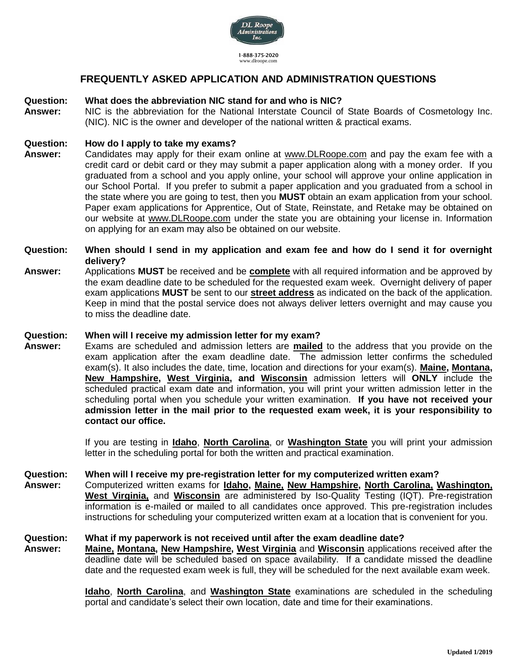

# **FREQUENTLY ASKED APPLICATION AND ADMINISTRATION QUESTIONS**

#### **Question: What does the abbreviation NIC stand for and who is NIC?**

**Answer:** NIC is the abbreviation for the National Interstate Council of State Boards of Cosmetology Inc. (NIC). NIC is the owner and developer of the national written & practical exams.

### **Question: How do I apply to take my exams?**

- **Answer:** Candidates may apply for their exam online at [www.DLRoope.com](http://www.dlroope.com/) and pay the exam fee with a credit card or debit card or they may submit a paper application along with a money order. If you graduated from a school and you apply online, your school will approve your online application in our School Portal. If you prefer to submit a paper application and you graduated from a school in the state where you are going to test, then you **MUST** obtain an exam application from your school. Paper exam applications for Apprentice, Out of State, Reinstate, and Retake may be obtained on our website at www.DLRoope.com under the state you are obtaining your license in. Information on applying for an exam may also be obtained on our website.
- **Question: When should I send in my application and exam fee and how do I send it for overnight delivery?**
- **Answer:** Applications **MUST** be received and be **complete** with all required information and be approved by the exam deadline date to be scheduled for the requested exam week. Overnight delivery of paper exam applications **MUST** be sent to our **street address** as indicated on the back of the application. Keep in mind that the postal service does not always deliver letters overnight and may cause you to miss the deadline date.

#### **Question: When will I receive my admission letter for my exam?**

**Answer:** Exams are scheduled and admission letters are **mailed** to the address that you provide on the exam application after the exam deadline date. The admission letter confirms the scheduled exam(s). It also includes the date, time, location and directions for your exam(s). **Maine, Montana, New Hampshire, West Virginia, and Wisconsin** admission letters will **ONLY** include the scheduled practical exam date and information, you will print your written admission letter in the scheduling portal when you schedule your written examination. **If you have not received your admission letter in the mail prior to the requested exam week, it is your responsibility to contact our office.**

> If you are testing in **Idaho**, **North Carolina**, or **Washington State** you will print your admission letter in the scheduling portal for both the written and practical examination.

#### **Question: When will I receive my pre-registration letter for my computerized written exam?**

**Answer:** Computerized written exams for **Idaho, Maine, New Hampshire, North Carolina, Washington, West Virginia,** and **Wisconsin** are administered by Iso-Quality Testing (IQT). Pre-registration information is e-mailed or mailed to all candidates once approved. This pre-registration includes instructions for scheduling your computerized written exam at a location that is convenient for you.

### **Question: What if my paperwork is not received until after the exam deadline date?**

**Answer: Maine, Montana, New Hampshire, West Virginia** and **Wisconsin** applications received after the deadline date will be scheduled based on space availability. If a candidate missed the deadline date and the requested exam week is full, they will be scheduled for the next available exam week.

> **Idaho**, **North Carolina**, and **Washington State** examinations are scheduled in the scheduling portal and candidate's select their own location, date and time for their examinations.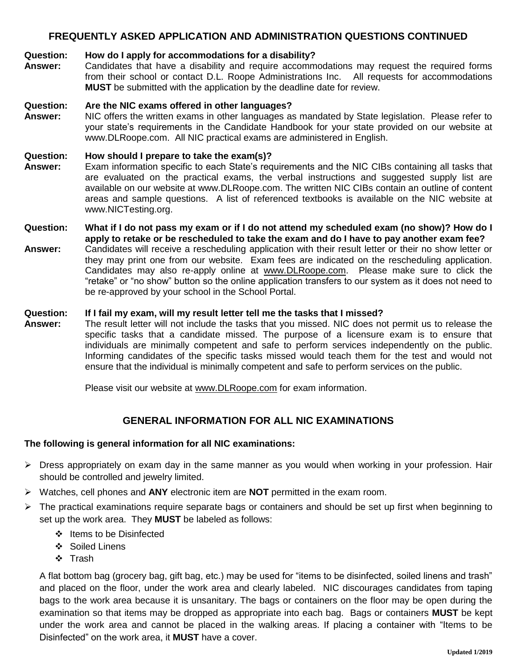## **FREQUENTLY ASKED APPLICATION AND ADMINISTRATION QUESTIONS CONTINUED**

## **Question: How do I apply for accommodations for a disability?**

**Answer:** Candidates that have a disability and require accommodations may request the required forms from their school or contact D.L. Roope Administrations Inc. All requests for accommodations **MUST** be submitted with the application by the deadline date for review.

### **Question: Are the NIC exams offered in other languages?**

**Answer:** NIC offers the written exams in other languages as mandated by State legislation. Please refer to your state's requirements in the Candidate Handbook for your state provided on our website at www.DLRoope.com. All NIC practical exams are administered in English.

### **Question: How should I prepare to take the exam(s)?**

- **Answer:** Exam information specific to each State's requirements and the NIC CIBs containing all tasks that are evaluated on the practical exams, the verbal instructions and suggested supply list are available on our website at www.DLRoope.com. The written NIC CIBs contain an outline of content areas and sample questions. A list of referenced textbooks is available on the NIC website at www.NICTesting.org.
- **Question: What if I do not pass my exam or if I do not attend my scheduled exam (no show)? How do I apply to retake or be rescheduled to take the exam and do I have to pay another exam fee?**
- **Answer:** Candidates will receive a rescheduling application with their result letter or their no show letter or they may print one from our website. Exam fees are indicated on the rescheduling application. Candidates may also re-apply online at [www.DLRoope.com.](http://www.dlroope.com/) Please make sure to click the "retake" or "no show" button so the online application transfers to our system as it does not need to be re-approved by your school in the School Portal.

### **Question: If I fail my exam, will my result letter tell me the tasks that I missed?**

**Answer:** The result letter will not include the tasks that you missed. NIC does not permit us to release the specific tasks that a candidate missed. The purpose of a licensure exam is to ensure that individuals are minimally competent and safe to perform services independently on the public. Informing candidates of the specific tasks missed would teach them for the test and would not ensure that the individual is minimally competent and safe to perform services on the public.

Please visit our website at [www.DLRoope.com](http://www.dlroope.com/) for exam information.

## **GENERAL INFORMATION FOR ALL NIC EXAMINATIONS**

### **The following is general information for all NIC examinations:**

- ➢ Dress appropriately on exam day in the same manner as you would when working in your profession. Hair should be controlled and jewelry limited.
- ➢ Watches, cell phones and **ANY** electronic item are **NOT** permitted in the exam room.
- ➢ The practical examinations require separate bags or containers and should be set up first when beginning to set up the work area. They **MUST** be labeled as follows:
	- ❖ Items to be Disinfected
	- ❖ Soiled Linens
	- ❖ Trash

A flat bottom bag (grocery bag, gift bag, etc.) may be used for "items to be disinfected, soiled linens and trash" and placed on the floor, under the work area and clearly labeled. NIC discourages candidates from taping bags to the work area because it is unsanitary. The bags or containers on the floor may be open during the examination so that items may be dropped as appropriate into each bag. Bags or containers **MUST** be kept under the work area and cannot be placed in the walking areas. If placing a container with "Items to be Disinfected" on the work area, it **MUST** have a cover.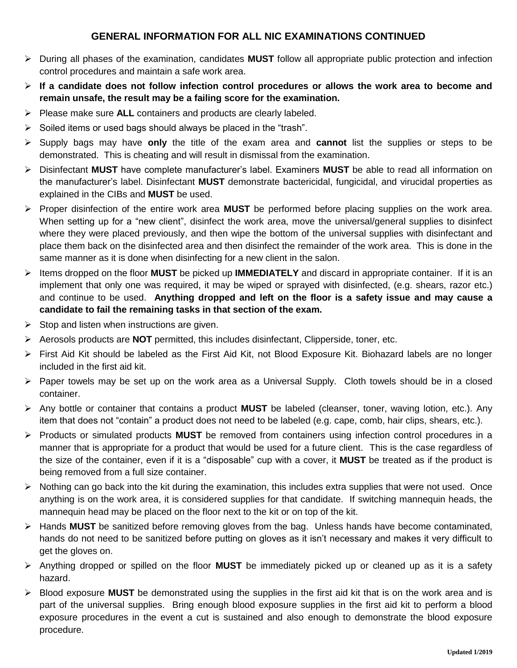# **GENERAL INFORMATION FOR ALL NIC EXAMINATIONS CONTINUED**

- ➢ During all phases of the examination, candidates **MUST** follow all appropriate public protection and infection control procedures and maintain a safe work area.
- ➢ **If a candidate does not follow infection control procedures or allows the work area to become and remain unsafe, the result may be a failing score for the examination.**
- ➢ Please make sure **ALL** containers and products are clearly labeled.
- $\triangleright$  Soiled items or used bags should always be placed in the "trash".
- ➢ Supply bags may have **only** the title of the exam area and **cannot** list the supplies or steps to be demonstrated. This is cheating and will result in dismissal from the examination.
- ➢ Disinfectant **MUST** have complete manufacturer's label. Examiners **MUST** be able to read all information on the manufacturer's label. Disinfectant **MUST** demonstrate bactericidal, fungicidal, and virucidal properties as explained in the CIBs and **MUST** be used.
- ➢ Proper disinfection of the entire work area **MUST** be performed before placing supplies on the work area. When setting up for a "new client", disinfect the work area, move the universal/general supplies to disinfect where they were placed previously, and then wipe the bottom of the universal supplies with disinfectant and place them back on the disinfected area and then disinfect the remainder of the work area. This is done in the same manner as it is done when disinfecting for a new client in the salon.
- ➢ Items dropped on the floor **MUST** be picked up **IMMEDIATELY** and discard in appropriate container. If it is an implement that only one was required, it may be wiped or sprayed with disinfected, (e.g. shears, razor etc.) and continue to be used. **Anything dropped and left on the floor is a safety issue and may cause a candidate to fail the remaining tasks in that section of the exam.**
- $\triangleright$  Stop and listen when instructions are given.
- ➢ Aerosols products are **NOT** permitted, this includes disinfectant, Clipperside, toner, etc.
- ➢ First Aid Kit should be labeled as the First Aid Kit, not Blood Exposure Kit. Biohazard labels are no longer included in the first aid kit.
- $\triangleright$  Paper towels may be set up on the work area as a Universal Supply. Cloth towels should be in a closed container.
- ➢ Any bottle or container that contains a product **MUST** be labeled (cleanser, toner, waving lotion, etc.). Any item that does not "contain" a product does not need to be labeled (e.g. cape, comb, hair clips, shears, etc.).
- ➢ Products or simulated products **MUST** be removed from containers using infection control procedures in a manner that is appropriate for a product that would be used for a future client. This is the case regardless of the size of the container, even if it is a "disposable" cup with a cover, it **MUST** be treated as if the product is being removed from a full size container.
- $\triangleright$  Nothing can go back into the kit during the examination, this includes extra supplies that were not used. Once anything is on the work area, it is considered supplies for that candidate. If switching mannequin heads, the mannequin head may be placed on the floor next to the kit or on top of the kit.
- ➢ Hands **MUST** be sanitized before removing gloves from the bag. Unless hands have become contaminated, hands do not need to be sanitized before putting on gloves as it isn't necessary and makes it very difficult to get the gloves on.
- ➢ Anything dropped or spilled on the floor **MUST** be immediately picked up or cleaned up as it is a safety hazard.
- ➢ Blood exposure **MUST** be demonstrated using the supplies in the first aid kit that is on the work area and is part of the universal supplies. Bring enough blood exposure supplies in the first aid kit to perform a blood exposure procedures in the event a cut is sustained and also enough to demonstrate the blood exposure procedure.